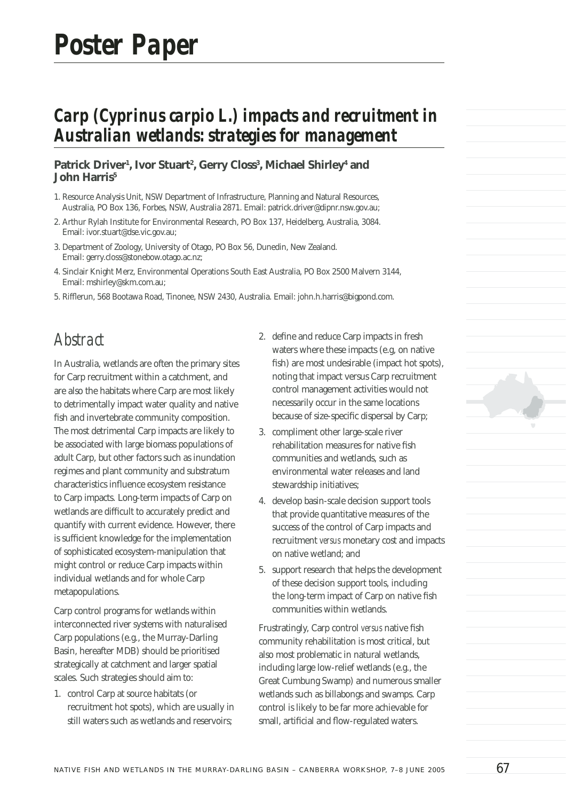# *Carp (Cyprinus carpio L.) impacts and recruitment in Australian wetlands: strategies for management*

#### Patrick Driver<sup>1</sup>, Ivor Stuart<sup>2</sup>, Gerry Closs<sup>3</sup>, Michael Shirley<del>'</del> and **John Harris5**

- 1. Resource Analysis Unit, NSW Department of Infrastructure, Planning and Natural Resources, Australia, PO Box 136, Forbes, NSW, Australia 2871. Email: patrick.driver@dipnr.nsw.gov.au;
- 2. Arthur Rylah Institute for Environmental Research, PO Box 137, Heidelberg, Australia, 3084. Email: ivor.stuart@dse.vic.gov.au;
- 3. Department of Zoology, University of Otago, PO Box 56, Dunedin, New Zealand. Email: gerry.closs@stonebow.otago.ac.nz;
- 4. Sinclair Knight Merz, Environmental Operations South East Australia, PO Box 2500 Malvern 3144, Email: mshirley@skm.com.au;
- 5. Rifflerun, 568 Bootawa Road, Tinonee, NSW 2430, Australia. Email: john.h.harris@bigpond.com.

#### *Abstract*

In Australia, wetlands are often the primary sites for Carp recruitment within a catchment, and are also the habitats where Carp are most likely to detrimentally impact water quality and native fish and invertebrate community composition. The most detrimental Carp impacts are likely to be associated with large biomass populations of adult Carp, but other factors such as inundation regimes and plant community and substratum characteristics influence ecosystem resistance to Carp impacts. Long-term impacts of Carp on wetlands are difficult to accurately predict and quantify with current evidence. However, there is sufficient knowledge for the implementation of sophisticated ecosystem-manipulation that might control or reduce Carp impacts within individual wetlands and for whole Carp metapopulations.

Carp control programs for wetlands within interconnected river systems with naturalised Carp populations (e.g., the Murray-Darling Basin, hereafter MDB) should be prioritised strategically at catchment and larger spatial scales. Such strategies should aim to:

1. control Carp at source habitats (or recruitment hot spots), which are usually in still waters such as wetlands and reservoirs;

- 2. define and reduce Carp impacts in fresh waters where these impacts (e.g, on native fish) are most undesirable (impact hot spots), noting that impact versus Carp recruitment control management activities would not necessarily occur in the same locations because of size-specific dispersal by Carp;
- 3. compliment other large-scale river rehabilitation measures for native fish communities and wetlands, such as environmental water releases and land stewardship initiatives;
- 4. develop basin-scale decision support tools that provide quantitative measures of the success of the control of Carp impacts and recruitment *versus* monetary cost and impacts on native wetland; and
- 5. support research that helps the development of these decision support tools, including the long-term impact of Carp on native fish communities within wetlands.

Frustratingly, Carp control *versus* native fish community rehabilitation is most critical, but also most problematic in natural wetlands, including large low-relief wetlands (e.g., the Great Cumbung Swamp) and numerous smaller wetlands such as billabongs and swamps. Carp control is likely to be far more achievable for small, artificial and flow-regulated waters.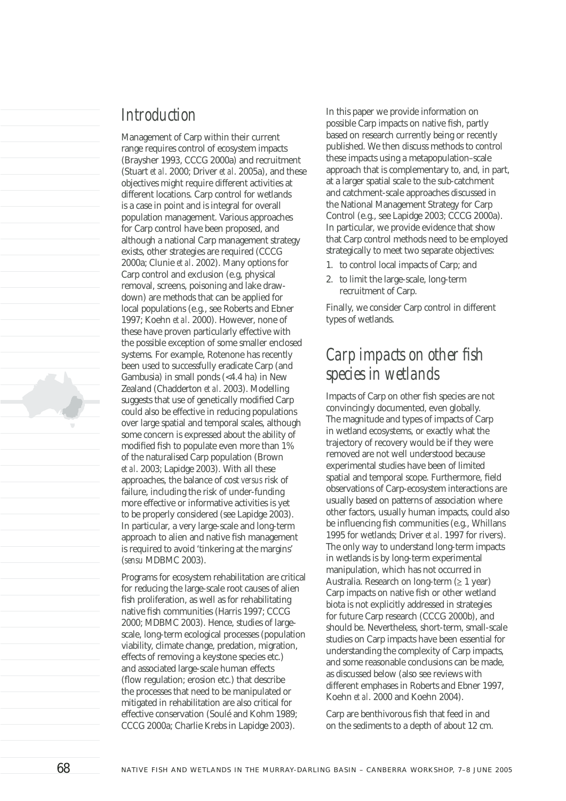#### *Introduction*

Management of Carp within their current range requires control of ecosystem impacts (Braysher 1993, CCCG 2000a) and recruitment (Stuart *et al*. 2000; Driver *et al*. 2005a), and these objectives might require different activities at different locations. Carp control for wetlands is a case in point and is integral for overall population management. Various approaches for Carp control have been proposed, and although a national Carp management strategy exists, other strategies are required (CCCG 2000a; Clunie *et al*. 2002). Many options for Carp control and exclusion (e.g, physical removal, screens, poisoning and lake drawdown) are methods that can be applied for local populations (e.g., see Roberts and Ebner 1997; Koehn *et al*. 2000). However, none of these have proven particularly effective with the possible exception of some smaller enclosed systems. For example, Rotenone has recently been used to successfully eradicate Carp (and Gambusia) in small ponds (<4.4 ha) in New Zealand (Chadderton *et al*. 2003). Modelling suggests that use of genetically modified Carp could also be effective in reducing populations over large spatial and temporal scales, although some concern is expressed about the ability of modified fish to populate even more than 1% of the naturalised Carp population (Brown *et al*. 2003; Lapidge 2003). With all these approaches, the balance of cost *versus* risk of failure, including the risk of under-funding more effective or informative activities is yet to be properly considered (see Lapidge 2003). In particular, a very large-scale and long-term approach to alien and native fish management is required to avoid 'tinkering at the margins' (*sensu* MDBMC 2003).

Programs for ecosystem rehabilitation are critical for reducing the large-scale root causes of alien fish proliferation, as well as for rehabilitating native fish communities (Harris 1997; CCCG 2000; MDBMC 2003). Hence, studies of largescale, long-term ecological processes (population viability, climate change, predation, migration, effects of removing a keystone species etc.) and associated large-scale human effects (flow regulation; erosion etc.) that describe the processes that need to be manipulated or mitigated in rehabilitation are also critical for effective conservation (Soulé and Kohm 1989; CCCG 2000a; Charlie Krebs in Lapidge 2003).

In this paper we provide information on possible Carp impacts on native fish, partly based on research currently being or recently published. We then discuss methods to control these impacts using a metapopulation–scale approach that is complementary to, and, in part, at a larger spatial scale to the sub-catchment and catchment-scale approaches discussed in the National Management Strategy for Carp Control (e.g., see Lapidge 2003; CCCG 2000a). In particular, we provide evidence that show that Carp control methods need to be employed strategically to meet two separate objectives:

- 1. to control local impacts of Carp; and
- 2. to limit the large-scale, long-term recruitment of Carp.

Finally, we consider Carp control in different types of wetlands.

## *Carp impacts on other fish species in wetlands*

Impacts of Carp on other fish species are not convincingly documented, even globally. The magnitude and types of impacts of Carp in wetland ecosystems, or exactly what the trajectory of recovery would be if they were removed are not well understood because experimental studies have been of limited spatial and temporal scope. Furthermore, field observations of Carp-ecosystem interactions are usually based on patterns of association where other factors, usually human impacts, could also be influencing fish communities (e.g., Whillans 1995 for wetlands; Driver *et al*. 1997 for rivers). The only way to understand long-term impacts in wetlands is by long-term experimental manipulation, which has not occurred in Australia. Research on long-term  $(≥ 1$  year) Carp impacts on native fish or other wetland biota is not explicitly addressed in strategies for future Carp research (CCCG 2000b), and should be. Nevertheless, short-term, small-scale studies on Carp impacts have been essential for understanding the complexity of Carp impacts, and some reasonable conclusions can be made, as discussed below (also see reviews with different emphases in Roberts and Ebner 1997, Koehn *et al*. 2000 and Koehn 2004).

Carp are benthivorous fish that feed in and on the sediments to a depth of about 12 cm.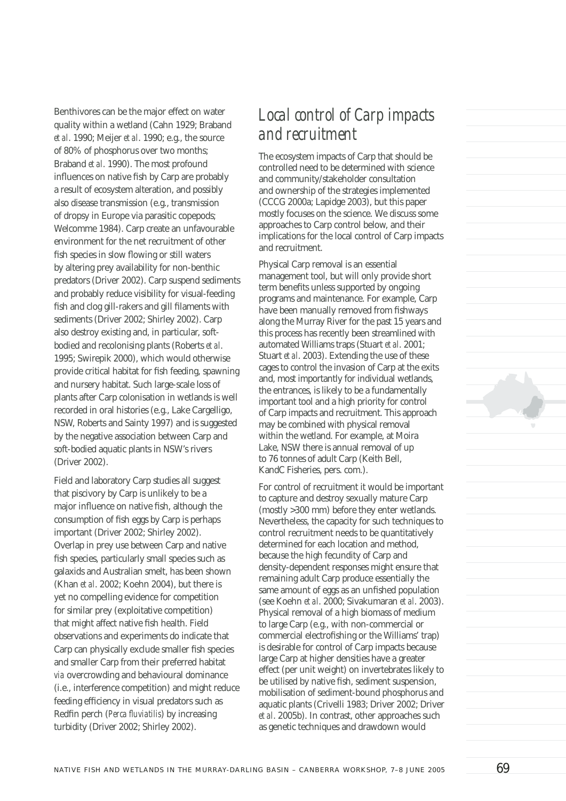Benthivores can be the major effect on water quality within a wetland (Cahn 1929; Braband *et al*. 1990; Meijer *et al*. 1990; e.g., the source of 80% of phosphorus over two months; Braband *et al*. 1990). The most profound influences on native fish by Carp are probably a result of ecosystem alteration, and possibly also disease transmission (e.g., transmission of dropsy in Europe via parasitic copepods; Welcomme 1984). Carp create an unfavourable environment for the net recruitment of other fish species in slow flowing or still waters by altering prey availability for non-benthic predators (Driver 2002). Carp suspend sediments and probably reduce visibility for visual-feeding fish and clog gill-rakers and gill filaments with sediments (Driver 2002; Shirley 2002). Carp also destroy existing and, in particular, softbodied and recolonising plants (Roberts *et al*. 1995; Swirepik 2000), which would otherwise provide critical habitat for fish feeding, spawning and nursery habitat. Such large-scale loss of plants after Carp colonisation in wetlands is well recorded in oral histories (e.g., Lake Cargelligo, NSW, Roberts and Sainty 1997) and is suggested by the negative association between Carp and soft-bodied aquatic plants in NSW's rivers (Driver 2002).

Field and laboratory Carp studies all suggest that piscivory by Carp is unlikely to be a major influence on native fish, although the consumption of fish eggs by Carp is perhaps important (Driver 2002; Shirley 2002). Overlap in prey use between Carp and native fish species, particularly small species such as galaxids and Australian smelt, has been shown (Khan *et al*. 2002; Koehn 2004), but there is yet no compelling evidence for competition for similar prey (exploitative competition) that might affect native fish health. Field observations and experiments do indicate that Carp can physically exclude smaller fish species and smaller Carp from their preferred habitat *via* overcrowding and behavioural dominance (i.e., interference competition) and might reduce feeding efficiency in visual predators such as Redfin perch (*Perca fluviatilis*) by increasing turbidity (Driver 2002; Shirley 2002).

# *Local control of Carp impacts and recruitment*

The ecosystem impacts of Carp that should be controlled need to be determined with science and community/stakeholder consultation and ownership of the strategies implemented (CCCG 2000a; Lapidge 2003), but this paper mostly focuses on the science. We discuss some approaches to Carp control below, and their implications for the local control of Carp impacts and recruitment.

Physical Carp removal is an essential management tool, but will only provide short term benefits unless supported by ongoing programs and maintenance. For example, Carp have been manually removed from fishways along the Murray River for the past 15 years and this process has recently been streamlined with automated Williams traps (Stuart *et al*. 2001; Stuart *et al*. 2003). Extending the use of these cages to control the invasion of Carp at the exits and, most importantly for individual wetlands, the entrances, is likely to be a fundamentally important tool and a high priority for control of Carp impacts and recruitment. This approach may be combined with physical removal within the wetland. For example, at Moira Lake, NSW there is annual removal of up to 76 tonnes of adult Carp (Keith Bell, KandC Fisheries, pers. com.).

For control of recruitment it would be important to capture and destroy sexually mature Carp (mostly >300 mm) before they enter wetlands. Nevertheless, the capacity for such techniques to control recruitment needs to be quantitatively determined for each location and method, because the high fecundity of Carp and density-dependent responses might ensure that remaining adult Carp produce essentially the same amount of eggs as an unfished population (see Koehn *et al*. 2000; Sivakumaran *et al*. 2003). Physical removal of a high biomass of medium to large Carp (e.g., with non-commercial or commercial electrofishing or the Williams' trap) is desirable for control of Carp impacts because large Carp at higher densities have a greater effect (per unit weight) on invertebrates likely to be utilised by native fish, sediment suspension, mobilisation of sediment-bound phosphorus and aquatic plants (Crivelli 1983; Driver 2002; Driver *et al*. 2005b). In contrast, other approaches such as genetic techniques and drawdown would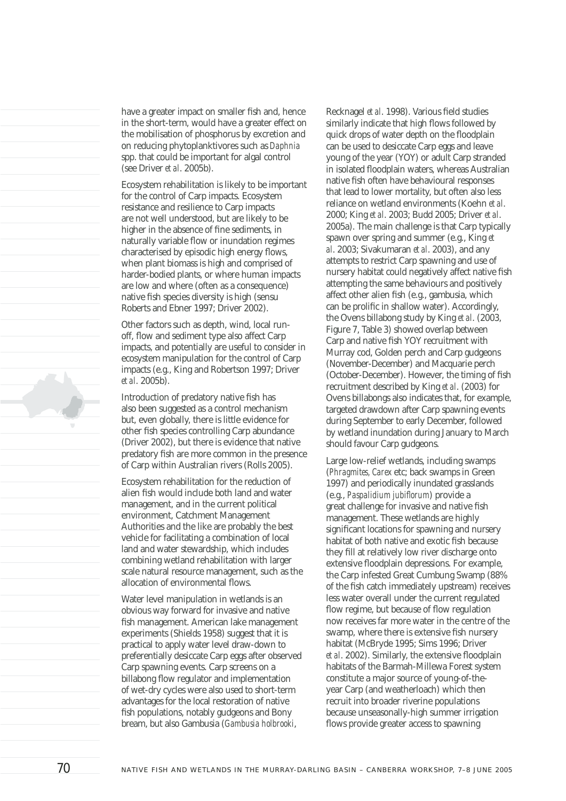have a greater impact on smaller fish and, hence in the short-term, would have a greater effect on the mobilisation of phosphorus by excretion and on reducing phytoplanktivores such as *Daphnia* spp. that could be important for algal control (see Driver *et al*. 2005b).

Ecosystem rehabilitation is likely to be important for the control of Carp impacts. Ecosystem resistance and resilience to Carp impacts are not well understood, but are likely to be higher in the absence of fine sediments, in naturally variable flow or inundation regimes characterised by episodic high energy flows, when plant biomass is high and comprised of harder-bodied plants, or where human impacts are low and where (often as a consequence) native fish species diversity is high (sensu Roberts and Ebner 1997; Driver 2002).

Other factors such as depth, wind, local runoff, flow and sediment type also affect Carp impacts, and potentially are useful to consider in ecosystem manipulation for the control of Carp impacts (e.g., King and Robertson 1997; Driver *et al*. 2005b).

Introduction of predatory native fish has also been suggested as a control mechanism but, even globally, there is little evidence for other fish species controlling Carp abundance (Driver 2002), but there is evidence that native predatory fish are more common in the presence of Carp within Australian rivers (Rolls 2005).

Ecosystem rehabilitation for the reduction of alien fish would include both land and water management, and in the current political environment, Catchment Management Authorities and the like are probably the best vehicle for facilitating a combination of local land and water stewardship, which includes combining wetland rehabilitation with larger scale natural resource management, such as the allocation of environmental flows.

Water level manipulation in wetlands is an obvious way forward for invasive and native fish management. American lake management experiments (Shields 1958) suggest that it is practical to apply water level draw-down to preferentially desiccate Carp eggs after observed Carp spawning events. Carp screens on a billabong flow regulator and implementation of wet-dry cycles were also used to short-term advantages for the local restoration of native fish populations, notably gudgeons and Bony bream, but also Gambusia (*Gambusia holbrooki*,

Recknagel et al. 1998). Various field studies similarly indicate that high flows followed by quick drops of water depth on the floodplain can be used to desiccate Carp eggs and leave young of the year (YOY) or adult Carp stranded in isolated floodplain waters, whereas Australian native fish often have behavioural responses that lead to lower mortality, but often also less reliance on wetland environments (Koehn *et al*. 2000; King *et al*. 2003; Budd 2005; Driver *et al*. 2005a). The main challenge is that Carp typically spawn over spring and summer (e.g., King *et al*. 2003; Sivakumaran *et al*. 2003), and any attempts to restrict Carp spawning and use of nursery habitat could negatively affect native fish attempting the same behaviours and positively affect other alien fish (e.g., gambusia, which can be prolific in shallow water). Accordingly, the Ovens billabong study by King *et al*. (2003, Figure 7, Table 3) showed overlap between Carp and native fish YOY recruitment with Murray cod, Golden perch and Carp gudgeons (November-December) and Macquarie perch (October-December). However, the timing of fish recruitment described by King *et al*. (2003) for Ovens billabongs also indicates that, for example, targeted drawdown after Carp spawning events during September to early December, followed by wetland inundation during January to March should favour Carp gudgeons.

Large low-relief wetlands, including swamps (*Phragmites, Carex* etc; back swamps in Green 1997) and periodically inundated grasslands (e.g., *Paspalidium jubiflorum*) provide a great challenge for invasive and native fish management. These wetlands are highly significant locations for spawning and nursery habitat of both native and exotic fish because they fill at relatively low river discharge onto extensive floodplain depressions. For example, the Carp infested Great Cumbung Swamp (88% of the fish catch immediately upstream) receives less water overall under the current regulated flow regime, but because of flow regulation now receives far more water in the centre of the swamp, where there is extensive fish nursery habitat (McBryde 1995; Sims 1996; Driver *et al.* 2002). Similarly, the extensive floodplain habitats of the Barmah-Millewa Forest system constitute a major source of young-of-theyear Carp (and weatherloach) which then recruit into broader riverine populations because unseasonally-high summer irrigation flows provide greater access to spawning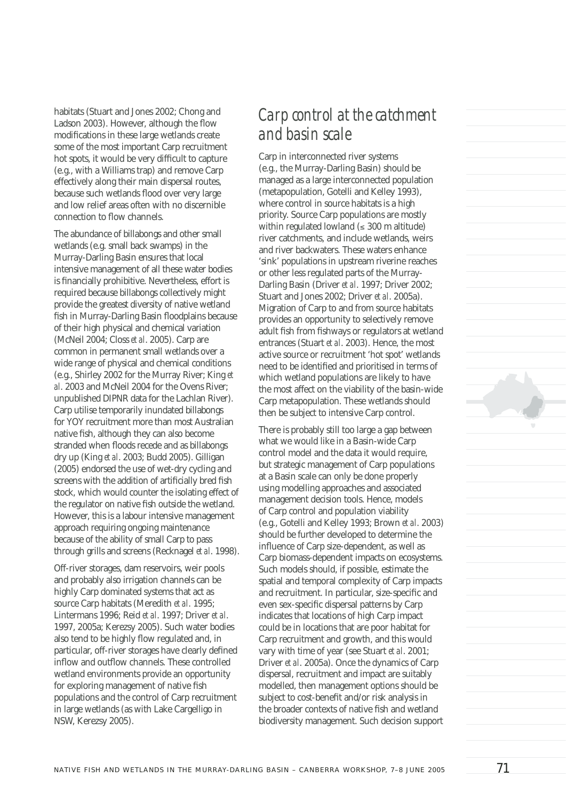habitats (Stuart and Jones 2002; Chong and Ladson 2003). However, although the flow modifications in these large wetlands create some of the most important Carp recruitment hot spots, it would be very difficult to capture (e.g., with a Williams trap) and remove Carp effectively along their main dispersal routes, because such wetlands flood over very large and low relief areas often with no discernible connection to flow channels

The abundance of billabongs and other small wetlands (e.g. small back swamps) in the Murray-Darling Basin ensures that local intensive management of all these water bodies is financially prohibitive. Nevertheless, effort is required because billabongs collectively might provide the greatest diversity of native wetland fish in Murray-Darling Basin floodplains because of their high physical and chemical variation (McNeil 2004; Closs *et al*. 2005). Carp are common in permanent small wetlands over a wide range of physical and chemical conditions (e.g., Shirley 2002 for the Murray River; King *et al*. 2003 and McNeil 2004 for the Ovens River; unpublished DIPNR data for the Lachlan River). Carp utilise temporarily inundated billabongs for YOY recruitment more than most Australian native fish, although they can also become stranded when floods recede and as billabongs dry up (King *et al*. 2003; Budd 2005). Gilligan (2005) endorsed the use of wet-dry cycling and screens with the addition of artificially bred fish stock, which would counter the isolating effect of the regulator on native fish outside the wetland. However, this is a labour intensive management approach requiring ongoing maintenance because of the ability of small Carp to pass through grills and screens (Recknagel *et al*. 1998).

Off-river storages, dam reservoirs, weir pools and probably also irrigation channels can be highly Carp dominated systems that act as source Carp habitats (Meredith *et al*. 1995; Lintermans 1996; Reid *et al*. 1997; Driver *et al*. 1997, 2005a; Kerezsy 2005). Such water bodies also tend to be highly flow regulated and, in particular, off-river storages have clearly defined inflow and outflow channels. These controlled wetland environments provide an opportunity for exploring management of native fish populations and the control of Carp recruitment in large wetlands (as with Lake Cargelligo in NSW, Kerezsy 2005).

## *Carp control at the catchment and basin scale*

Carp in interconnected river systems (e.g., the Murray-Darling Basin) should be managed as a large interconnected population (metapopulation, Gotelli and Kelley 1993), where control in source habitats is a high priority. Source Carp populations are mostly within regulated lowland  $(\leq 300 \text{ m}$  altitude) river catchments, and include wetlands, weirs and river backwaters. These waters enhance 'sink' populations in upstream riverine reaches or other less regulated parts of the Murray-Darling Basin (Driver *et al*. 1997; Driver 2002; Stuart and Jones 2002; Driver *et al*. 2005a). Migration of Carp to and from source habitats provides an opportunity to selectively remove adult fish from fishways or regulators at wetland entrances (Stuart *et al*. 2003). Hence, the most active source or recruitment 'hot spot' wetlands need to be identified and prioritised in terms of which wetland populations are likely to have the most affect on the viability of the basin-wide Carp metapopulation. These wetlands should then be subject to intensive Carp control.

There is probably still too large a gap between what we would like in a Basin-wide Carp control model and the data it would require, but strategic management of Carp populations at a Basin scale can only be done properly using modelling approaches and associated management decision tools. Hence, models of Carp control and population viability (e.g., Gotelli and Kelley 1993; Brown *et al*. 2003) should be further developed to determine the influence of Carp size-dependent, as well as Carp biomass-dependent impacts on ecosystems. Such models should, if possible, estimate the spatial and temporal complexity of Carp impacts and recruitment. In particular, size-specific and even sex-specific dispersal patterns by Carp indicates that locations of high Carp impact could be in locations that are poor habitat for Carp recruitment and growth, and this would vary with time of year (see Stuart *et al*. 2001; Driver *et al*. 2005a). Once the dynamics of Carp dispersal, recruitment and impact are suitably modelled, then management options should be subject to cost-benefit and/or risk analysis in the broader contexts of native fish and wetland biodiversity management. Such decision support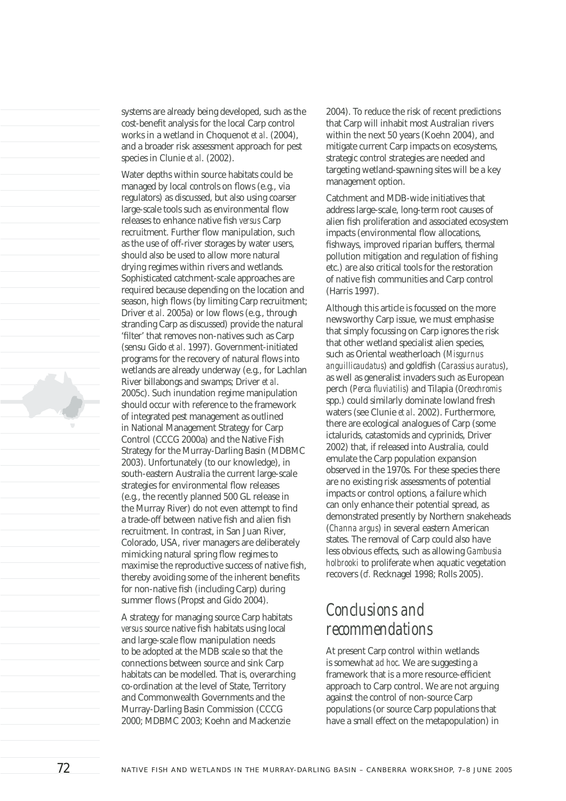systems are already being developed, such as the cost-benefit analysis for the local Carp control works in a wetland in Choquenot *et al*. (2004), and a broader risk assessment approach for pest species in Clunie *et al*. (2002).

Water depths within source habitats could be managed by local controls on flows (e.g., via regulators) as discussed, but also using coarser large-scale tools such as environmental flow releases to enhance native fish *versus* Carp recruitment. Further flow manipulation, such as the use of off-river storages by water users, should also be used to allow more natural drying regimes within rivers and wetlands. Sophisticated catchment-scale approaches are required because depending on the location and season, high flows (by limiting Carp recruitment; Driver *et al.* 2005a) or low flows (e.g., through stranding Carp as discussed) provide the natural 'filter' that removes non-natives such as Carp (sensu Gido *et al*. 1997). Government-initiated programs for the recovery of natural flows into wetlands are already underway (e.g., for Lachlan River billabongs and swamps; Driver *et al*. 2005c). Such inundation regime manipulation should occur with reference to the framework of integrated pest management as outlined in National Management Strategy for Carp Control (CCCG 2000a) and the Native Fish Strategy for the Murray-Darling Basin (MDBMC 2003). Unfortunately (to our knowledge), in south-eastern Australia the current large-scale strategies for environmental flow releases (e.g., the recently planned 500 GL release in the Murray River) do not even attempt to find a trade-off between native fish and alien fish recruitment. In contrast, in San Juan River, Colorado, USA, river managers are deliberately mimicking natural spring flow regimes to maximise the reproductive success of native fish, thereby avoiding some of the inherent benefits for non-native fish (including Carp) during summer flows (Propst and Gido 2004).

A strategy for managing source Carp habitats *versus* source native fish habitats using local and large-scale flow manipulation needs to be adopted at the MDB scale so that the connections between source and sink Carp habitats can be modelled. That is, overarching co-ordination at the level of State, Territory and Commonwealth Governments and the Murray-Darling Basin Commission (CCCG 2000; MDBMC 2003; Koehn and Mackenzie

2004). To reduce the risk of recent predictions that Carp will inhabit most Australian rivers within the next 50 years (Koehn 2004), and mitigate current Carp impacts on ecosystems, strategic control strategies are needed and targeting wetland-spawning sites will be a key management option.

Catchment and MDB-wide initiatives that address large-scale, long-term root causes of alien fish proliferation and associated ecosystem impacts (environmental flow allocations, fishways, improved riparian buffers, thermal pollution mitigation and regulation of fishing etc.) are also critical tools for the restoration of native fish communities and Carp control (Harris 1997).

Although this article is focussed on the more newsworthy Carp issue, we must emphasise that simply focussing on Carp ignores the risk that other wetland specialist alien species, such as Oriental weatherloach (*Misgurnus anguillicaudatus*) and goldfish (*Carassius auratus*), as well as generalist invaders such as European perch (*Perca fl uviatilis*) and Tilapia (*Oreochromis* spp.) could similarly dominate lowland fresh waters (see Clunie *et al*. 2002). Furthermore, there are ecological analogues of Carp (some ictalurids, catastomids and cyprinids, Driver 2002) that, if released into Australia, could emulate the Carp population expansion observed in the 1970s. For these species there are no existing risk assessments of potential impacts or control options, a failure which can only enhance their potential spread, as demonstrated presently by Northern snakeheads (*Channa argus*) in several eastern American states. The removal of Carp could also have less obvious effects, such as allowing *Gambusia holbrooki* to proliferate when aquatic vegetation recovers (*cf.* Recknagel 1998; Rolls 2005).

## *Conclusions and recommendations*

At present Carp control within wetlands is somewhat *ad hoc*. We are suggesting a framework that is a more resource-efficient approach to Carp control. We are not arguing against the control of non-source Carp populations (or source Carp populations that have a small effect on the metapopulation) in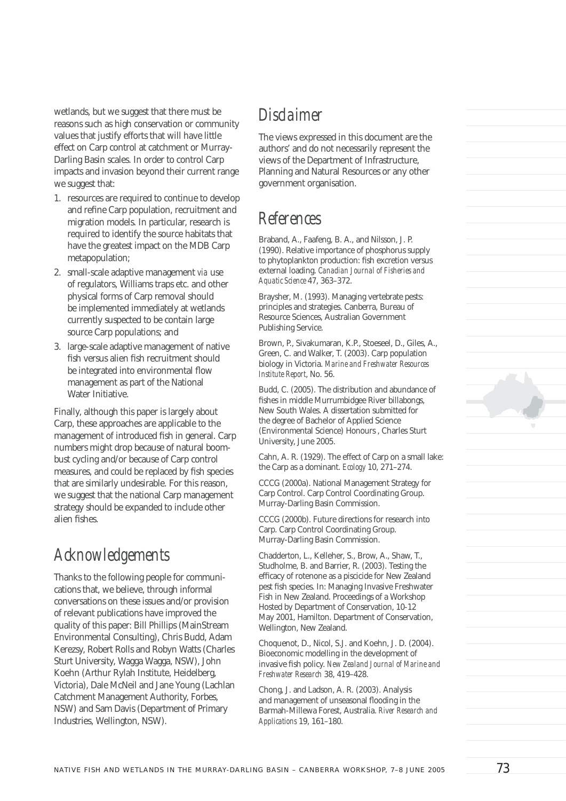wetlands, but we suggest that there must be reasons such as high conservation or community values that justify efforts that will have little effect on Carp control at catchment or Murray-Darling Basin scales. In order to control Carp impacts and invasion beyond their current range we suggest that:

- 1. resources are required to continue to develop and refine Carp population, recruitment and migration models. In particular, research is required to identify the source habitats that have the greatest impact on the MDB Carp metapopulation;
- 2. small-scale adaptive management *via* use of regulators, Williams traps etc. and other physical forms of Carp removal should be implemented immediately at wetlands currently suspected to be contain large source Carp populations; and
- 3. large-scale adaptive management of native fish versus alien fish recruitment should be integrated into environmental flow management as part of the National Water Initiative.

Finally, although this paper is largely about Carp, these approaches are applicable to the management of introduced fish in general. Carp numbers might drop because of natural boombust cycling and/or because of Carp control measures, and could be replaced by fish species that are similarly undesirable. For this reason, we suggest that the national Carp management strategy should be expanded to include other alien fishes.

# *Acknowledgements*

Thanks to the following people for communications that, we believe, through informal conversations on these issues and/or provision of relevant publications have improved the quality of this paper: Bill Phillips (MainStream Environmental Consulting), Chris Budd, Adam Kerezsy, Robert Rolls and Robyn Watts (Charles Sturt University, Wagga Wagga, NSW), John Koehn (Arthur Rylah Institute, Heidelberg, Victoria), Dale McNeil and Jane Young (Lachlan Catchment Management Authority, Forbes, NSW) and Sam Davis (Department of Primary Industries, Wellington, NSW).

#### *Disclaimer*

The views expressed in this document are the authors' and do not necessarily represent the views of the Department of Infrastructure, Planning and Natural Resources or any other government organisation.

## *References*

Braband, A., Faafeng, B. A., and Nilsson, J. P. (1990). Relative importance of phosphorus supply to phytoplankton production: fish excretion versus external loading. *Canadian Journal of Fisheries and Aquatic Science* 47, 363–372.

Braysher, M. (1993). Managing vertebrate pests: principles and strategies. Canberra, Bureau of Resource Sciences, Australian Government Publishing Service.

Brown, P., Sivakumaran, K.P., Stoeseel, D., Giles, A., Green, C. and Walker, T. (2003). Carp population biology in Victoria. *Marine and Freshwater Resources Institute Report*, No. 56.

Budd, C. (2005). The distribution and abundance of fishes in middle Murrumbidgee River billabongs, New South Wales. A dissertation submitted for the degree of Bachelor of Applied Science (Environmental Science) Honours , Charles Sturt University, June 2005.

Cahn, A. R. (1929). The effect of Carp on a small lake: the Carp as a dominant. *Ecology* 10, 271–274.

CCCG (2000a). National Management Strategy for Carp Control. Carp Control Coordinating Group. Murray-Darling Basin Commission.

CCCG (2000b). Future directions for research into Carp. Carp Control Coordinating Group. Murray-Darling Basin Commission.

Chadderton, L., Kelleher, S., Brow, A., Shaw, T., Studholme, B. and Barrier, R. (2003). Testing the efficacy of rotenone as a piscicide for New Zealand pest fish species. In: Managing Invasive Freshwater Fish in New Zealand. Proceedings of a Workshop Hosted by Department of Conservation, 10-12 May 2001, Hamilton. Department of Conservation, Wellington, New Zealand.

Choquenot, D., Nicol, S.J. and Koehn, J. D. (2004). Bioeconomic modelling in the development of invasive fish policy. *New Zealand Journal of Marine and Freshwater Research* 38, 419–428.

Chong, J. and Ladson, A. R. (2003). Analysis and management of unseasonal flooding in the Barmah-Millewa Forest, Australia. *River Research and Applications* 19, 161–180.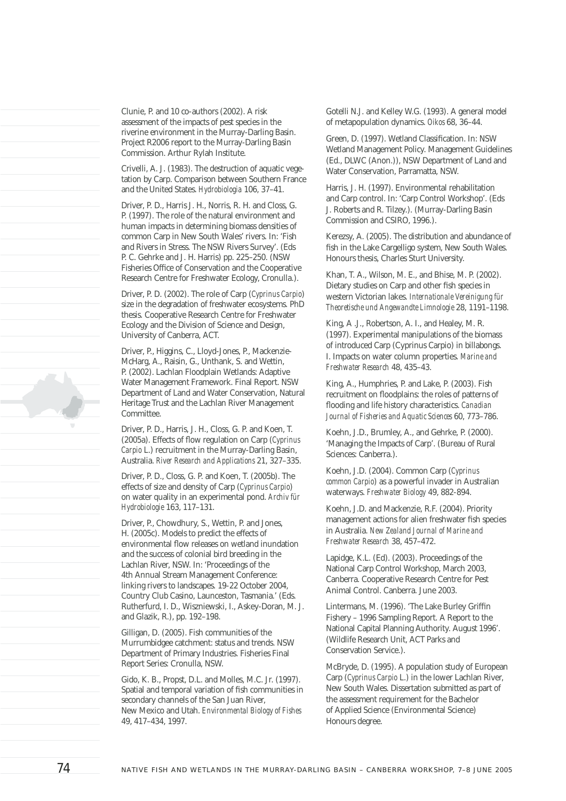Clunie, P. and 10 co-authors (2002). A risk assessment of the impacts of pest species in the riverine environment in the Murray-Darling Basin. Project R2006 report to the Murray-Darling Basin Commission. Arthur Rylah Institute.

Crivelli, A. J. (1983). The destruction of aquatic vegetation by Carp. Comparison between Southern France and the United States. *Hydrobiologia* 106, 37–41.

Driver, P. D., Harris J. H., Norris, R. H. and Closs, G. P. (1997). The role of the natural environment and human impacts in determining biomass densities of common Carp in New South Wales' rivers. In: 'Fish and Rivers in Stress. The NSW Rivers Survey'. (Eds P. C. Gehrke and J. H. Harris) pp. 225–250. (NSW Fisheries Office of Conservation and the Cooperative Research Centre for Freshwater Ecology, Cronulla.).

Driver, P. D. (2002). The role of Carp (*Cyprinus Carpio*) size in the degradation of freshwater ecosystems. PhD thesis. Cooperative Research Centre for Freshwater Ecology and the Division of Science and Design, University of Canberra, ACT.

Driver, P., Higgins, C., Lloyd-Jones, P., Mackenzie-McHarg, A., Raisin, G., Unthank, S. and Wettin, P. (2002). Lachlan Floodplain Wetlands: Adaptive Water Management Framework. Final Report. NSW Department of Land and Water Conservation, Natural Heritage Trust and the Lachlan River Management Committee.

Driver, P. D., Harris, J. H., Closs, G. P. and Koen, T. (2005a). Effects of flow regulation on Carp (*Cyprinus Carpio* L.) recruitment in the Murray-Darling Basin, Australia. *River Research and Applications* 21, 327–335.

Driver, P. D., Closs, G. P. and Koen, T. (2005b). The effects of size and density of Carp (*Cyprinus Carpio*) on water quality in an experimental pond. *Archiv für Hydrobiologie* 163, 117–131.

Driver, P., Chowdhury, S., Wettin, P. and Jones, H. (2005c). Models to predict the effects of environmental flow releases on wetland inundation and the success of colonial bird breeding in the Lachlan River, NSW. In: 'Proceedings of the 4th Annual Stream Management Conference: linking rivers to landscapes. 19-22 October 2004, Country Club Casino, Launceston, Tasmania.' (Eds. Rutherfurd, I. D., Wiszniewski, I., Askey-Doran, M. J. and Glazik, R.), pp. 192–198.

Gilligan, D. (2005). Fish communities of the Murrumbidgee catchment: status and trends. NSW Department of Primary Industries. Fisheries Final Report Series: Cronulla, NSW.

Gido, K. B., Propst, D.L. and Molles, M.C. Jr. (1997). Spatial and temporal variation of fish communities in secondary channels of the San Juan River, New Mexico and Utah. *Environmental Biology of Fishes* 49, 417–434, 1997.

Gotelli N.J. and Kelley W.G. (1993). A general model of metapopulation dynamics. *Oikos* 68, 36–44.

Green, D. (1997). Wetland Classification. In: NSW Wetland Management Policy. Management Guidelines (Ed., DLWC (Anon.)), NSW Department of Land and Water Conservation, Parramatta, NSW.

Harris, J. H. (1997). Environmental rehabilitation and Carp control. In: 'Carp Control Workshop'. (Eds J. Roberts and R. Tilzey.). (Murray-Darling Basin Commission and CSIRO, 1996.).

Kerezsy, A. (2005). The distribution and abundance of fish in the Lake Cargelligo system, New South Wales. Honours thesis, Charles Sturt University.

Khan, T. A., Wilson, M. E., and Bhise, M. P. (2002). Dietary studies on Carp and other fish species in western Victorian lakes. *Internationale Vereinigung für Theoretische und Angewandte Limnologie* 28, 1191–1198.

King, A .J., Robertson, A. I., and Healey, M. R. (1997). Experimental manipulations of the biomass of introduced Carp (Cyprinus Carpio) in billabongs. I. Impacts on water column properties. *Marine and Freshwater Research* 48, 435–43.

King, A., Humphries, P. and Lake, P. (2003). Fish recruitment on floodplains: the roles of patterns of flooding and life history characteristics. *Canadian Journal of Fisheries and Aquatic Sciences* 60, 773–786.

Koehn, J.D., Brumley, A., and Gehrke, P. (2000). 'Managing the Impacts of Carp'. (Bureau of Rural Sciences: Canberra.).

Koehn, J.D. (2004). Common Carp (*Cyprinus common Carpio*) as a powerful invader in Australian waterways. *Freshwater Biology* 49, 882-894.

Koehn, J.D. and Mackenzie, R.F. (2004). Priority management actions for alien freshwater fish species in Australia. *New Zealand Journal of Marine and Freshwater Research* 38, 457–472.

Lapidge, K.L. (Ed). (2003). Proceedings of the National Carp Control Workshop, March 2003, Canberra. Cooperative Research Centre for Pest Animal Control. Canberra. June 2003.

Lintermans, M. (1996). 'The Lake Burley Griffin Fishery – 1996 Sampling Report. A Report to the National Capital Planning Authority. August 1996'. (Wildlife Research Unit, ACT Parks and Conservation Service.).

McBryde, D. (1995). A population study of European Carp (*Cyprinus Carpio* L.) in the lower Lachlan River, New South Wales. Dissertation submitted as part of the assessment requirement for the Bachelor of Applied Science (Environmental Science) Honours degree.